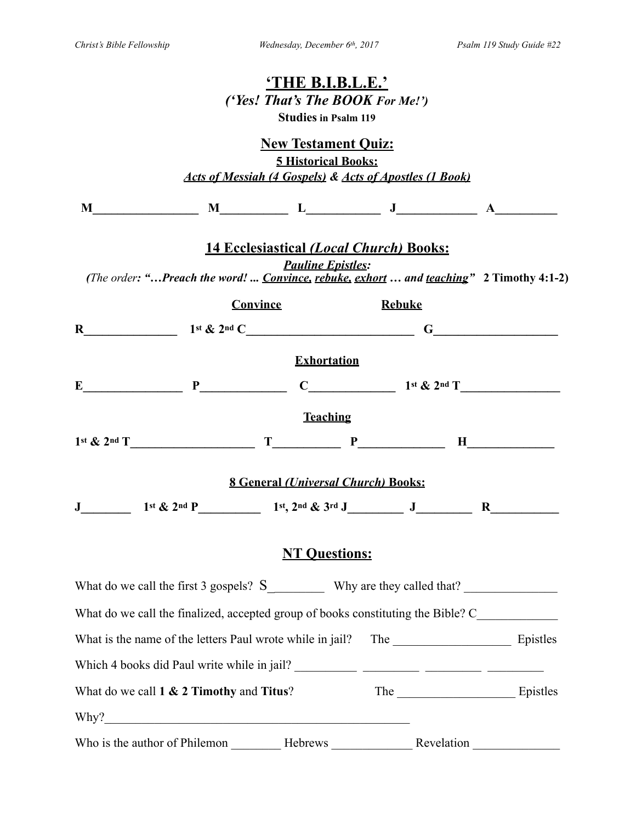|                                             |                                                                                               | <u>'THE B.I.B.L.E.'</u><br>('Yes! That's The BOOK For Me!')<br><b>Studies in Psalm 119</b>                          |               |            |              |  |
|---------------------------------------------|-----------------------------------------------------------------------------------------------|---------------------------------------------------------------------------------------------------------------------|---------------|------------|--------------|--|
|                                             |                                                                                               | <b>New Testament Quiz:</b><br><b>5 Historical Books:</b><br>Acts of Messiah (4 Gospels) & Acts of Apostles (1 Book) |               |            |              |  |
|                                             | $M$ $M$ $L$ $J$ $A$ $A$                                                                       |                                                                                                                     |               |            |              |  |
|                                             | (The order: "Preach the word!  Convince, rebuke, exhort  and teaching" 2 Timothy 4:1-2)       | <b>14 Ecclesiastical (Local Church) Books:</b><br><b>Pauline Epistles:</b>                                          |               |            |              |  |
|                                             |                                                                                               | Convince                                                                                                            | <b>Rebuke</b> |            |              |  |
|                                             |                                                                                               |                                                                                                                     |               |            |              |  |
|                                             |                                                                                               | <b>Exhortation</b>                                                                                                  |               |            |              |  |
|                                             |                                                                                               |                                                                                                                     |               |            |              |  |
|                                             |                                                                                               | <b>Teaching</b>                                                                                                     |               |            |              |  |
|                                             |                                                                                               |                                                                                                                     |               |            |              |  |
|                                             |                                                                                               | <b>8 General (Universal Church) Books:</b>                                                                          |               |            |              |  |
|                                             | $J$ 1st & 2nd P 1st, 2nd & 3rd J $J$ $J$ $K$                                                  |                                                                                                                     |               |            |              |  |
|                                             |                                                                                               | <b>NT Questions:</b>                                                                                                |               |            |              |  |
|                                             | What do we call the first 3 gospels? $S_$ Why are they called that?                           |                                                                                                                     |               |            |              |  |
|                                             | What do we call the finalized, accepted group of books constituting the Bible? C_____________ |                                                                                                                     |               |            |              |  |
|                                             |                                                                                               |                                                                                                                     |               |            |              |  |
|                                             |                                                                                               |                                                                                                                     |               |            |              |  |
| What do we call $1 \& 2$ Timothy and Titus? |                                                                                               |                                                                                                                     |               |            | The Epistles |  |
|                                             | Why?                                                                                          |                                                                                                                     |               |            |              |  |
|                                             |                                                                                               |                                                                                                                     |               | Revelation |              |  |